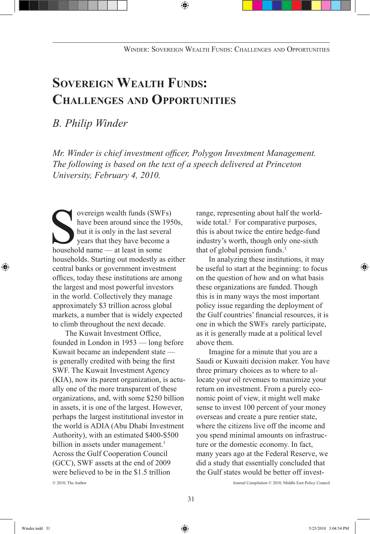# **SOVEREIGN WEALTH FUNDS: Challenges and Opportunities**

# *B. Philip Winder*

*Mr. Winder is chief investment officer, Polygon Investment Management. The following is based on the text of a speech delivered at Princeton University, February 4, 2010.*

Solution wealth funds (SWI)<br>have been around since the but it is only in the last sever<br>household name — at least in some overeign wealth funds (SWFs) have been around since the 1950s, but it is only in the last several years that they have become a households. Starting out modestly as either central banks or government investment offices, today these institutions are among the largest and most powerful investors in the world. Collectively they manage approximately \$3 trillion across global markets, a number that is widely expected to climb throughout the next decade.

The Kuwait Investment Office, founded in London in 1953 — long before Kuwait became an independent state is generally credited with being the first SWF. The Kuwait Investment Agency (KIA), now its parent organization, is actually one of the more transparent of these organizations, and, with some \$250 billion in assets, it is one of the largest. However, perhaps the largest institutional investor in the world is ADIA (Abu Dhabi Investment Authority), with an estimated \$400-\$500 billion in assets under management.<sup>1</sup> Across the Gulf Cooperation Council (GCC), SWF assets at the end of 2009 were believed to be in the \$1.5 trillion

range, representing about half the worldwide total.<sup>2</sup> For comparative purposes, this is about twice the entire hedge-fund industry's worth, though only one-sixth that of global pension funds.<sup>3</sup>

In analyzing these institutions, it may be useful to start at the beginning: to focus on the question of how and on what basis these organizations are funded. Though this is in many ways the most important policy issue regarding the deployment of the Gulf countries' financial resources, it is one in which the SWFs rarely participate, as it is generally made at a political level above them.

Imagine for a minute that you are a Saudi or Kuwaiti decision maker. You have three primary choices as to where to allocate your oil revenues to maximize your return on investment. From a purely economic point of view, it might well make sense to invest 100 percent of your money overseas and create a pure rentier state, where the citizens live off the income and you spend minimal amounts on infrastructure or the domestic economy. In fact, many years ago at the Federal Reserve, we did a study that essentially concluded that the Gulf states would be better off invest-

© 2010, The Author **District and Author** Journal Compilation © 2010, Middle East Policy Council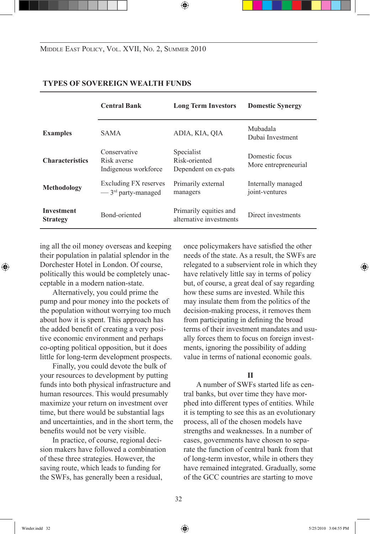|                                      | <b>Central Bank</b>                                            | <b>Long Term Investors</b>                          | <b>Domestic Synergy</b>                |
|--------------------------------------|----------------------------------------------------------------|-----------------------------------------------------|----------------------------------------|
| <b>Examples</b>                      | <b>SAMA</b>                                                    | ADIA, KIA, QIA                                      | Mubadala<br>Dubai Investment           |
| <b>Characteristics</b>               | Conservative<br>Risk averse<br>Indigenous workforce            | Specialist<br>Risk-oriented<br>Dependent on ex-pats | Domestic focus<br>More entrepreneurial |
| <b>Methodology</b>                   | Excluding FX reserves<br>$\frac{3^{rd}}{2^{rd}}$ party-managed | Primarily external<br>managers                      | Internally managed<br>joint-ventures   |
| <b>Investment</b><br><b>Strategy</b> | Bond-oriented                                                  | Primarily equities and<br>alternative investments   | Direct investments                     |

#### **Types of Sovereign Wealth Funds**

ing all the oil money overseas and keeping their population in palatial splendor in the Dorchester Hotel in London. Of course, politically this would be completely unacceptable in a modern nation-state.

Alternatively, you could prime the pump and pour money into the pockets of the population without worrying too much about how it is spent. This approach has the added benefit of creating a very positive economic environment and perhaps co-opting political opposition, but it does little for long-term development prospects.

Finally, you could devote the bulk of your resources to development by putting funds into both physical infrastructure and human resources. This would presumably maximize your return on investment over time, but there would be substantial lags and uncertainties, and in the short term, the benefits would not be very visible.

In practice, of course, regional decision makers have followed a combination of these three strategies. However, the saving route, which leads to funding for the SWFs, has generally been a residual,

once policymakers have satisfied the other needs of the state. As a result, the SWFs are relegated to a subservient role in which they have relatively little say in terms of policy but, of course, a great deal of say regarding how these sums are invested. While this may insulate them from the politics of the decision-making process, it removes them from participating in defining the broad terms of their investment mandates and usually forces them to focus on foreign investments, ignoring the possibility of adding value in terms of national economic goals.

#### **II**

A number of SWFs started life as central banks, but over time they have morphed into different types of entities. While it is tempting to see this as an evolutionary process, all of the chosen models have strengths and weaknesses. In a number of cases, governments have chosen to separate the function of central bank from that of long-term investor, while in others they have remained integrated. Gradually, some of the GCC countries are starting to move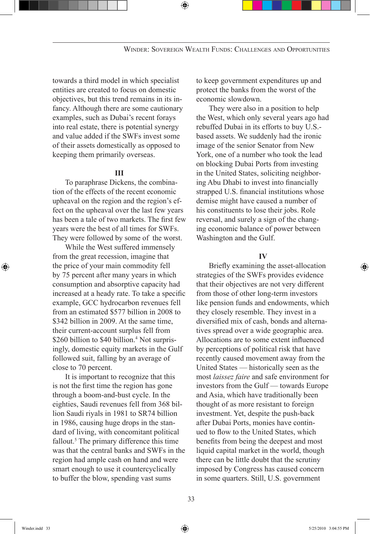towards a third model in which specialist entities are created to focus on domestic objectives, but this trend remains in its infancy. Although there are some cautionary examples, such as Dubai's recent forays into real estate, there is potential synergy and value added if the SWFs invest some of their assets domestically as opposed to keeping them primarily overseas.

#### **III**

To paraphrase Dickens, the combination of the effects of the recent economic upheaval on the region and the region's effect on the upheaval over the last few years has been a tale of two markets. The first few years were the best of all times for SWFs. They were followed by some of the worst.

While the West suffered immensely from the great recession, imagine that the price of your main commodity fell by 75 percent after many years in which consumption and absorptive capacity had increased at a heady rate. To take a specific example, GCC hydrocarbon revenues fell from an estimated \$577 billion in 2008 to \$342 billion in 2009. At the same time, their current-account surplus fell from \$260 billion to \$40 billion.<sup>4</sup> Not surprisingly, domestic equity markets in the Gulf followed suit, falling by an average of close to 70 percent.

It is important to recognize that this is not the first time the region has gone through a boom-and-bust cycle. In the eighties, Saudi revenues fell from 368 billion Saudi riyals in 1981 to SR74 billion in 1986, causing huge drops in the standard of living, with concomitant political fallout.<sup>5</sup> The primary difference this time was that the central banks and SWFs in the region had ample cash on hand and were smart enough to use it countercyclically to buffer the blow, spending vast sums

to keep government expenditures up and protect the banks from the worst of the economic slowdown.

They were also in a position to help the West, which only several years ago had rebuffed Dubai in its efforts to buy U.S. based assets. We suddenly had the ironic image of the senior Senator from New York, one of a number who took the lead on blocking Dubai Ports from investing in the United States, soliciting neighboring Abu Dhabi to invest into financially strapped U.S. financial institutions whose demise might have caused a number of his constituents to lose their jobs. Role reversal, and surely a sign of the changing economic balance of power between Washington and the Gulf.

## **IV**

Briefly examining the asset-allocation strategies of the SWFs provides evidence that their objectives are not very different from those of other long-term investors like pension funds and endowments, which they closely resemble. They invest in a diversified mix of cash, bonds and alternatives spread over a wide geographic area. Allocations are to some extent influenced by perceptions of political risk that have recently caused movement away from the United States — historically seen as the most *laissez faire* and safe environment for investors from the Gulf — towards Europe and Asia, which have traditionally been thought of as more resistant to foreign investment. Yet, despite the push-back after Dubai Ports, monies have continued to flow to the United States, which benefits from being the deepest and most liquid capital market in the world, though there can be little doubt that the scrutiny imposed by Congress has caused concern in some quarters. Still, U.S. government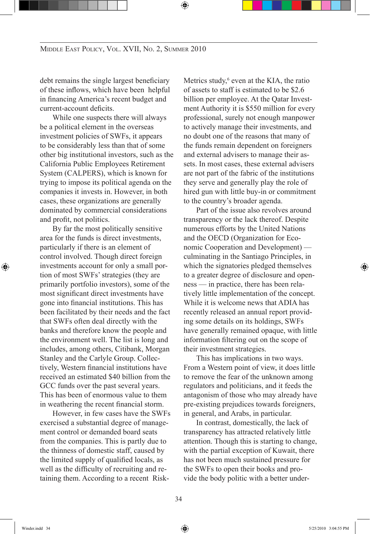debt remains the single largest beneficiary of these inflows, which have been helpful in financing America's recent budget and current-account deficits.

While one suspects there will always be a political element in the overseas investment policies of SWFs, it appears to be considerably less than that of some other big institutional investors, such as the California Public Employees Retirement System (CALPERS), which is known for trying to impose its political agenda on the companies it invests in. However, in both cases, these organizations are generally dominated by commercial considerations and profit, not politics.

By far the most politically sensitive area for the funds is direct investments, particularly if there is an element of control involved. Though direct foreign investments account for only a small portion of most SWFs' strategies (they are primarily portfolio investors), some of the most significant direct investments have gone into financial institutions. This has been facilitated by their needs and the fact that SWFs often deal directly with the banks and therefore know the people and the environment well. The list is long and includes, among others, Citibank, Morgan Stanley and the Carlyle Group. Collectively, Western financial institutions have received an estimated \$40 billion from the GCC funds over the past several years. This has been of enormous value to them in weathering the recent financial storm.

However, in few cases have the SWFs exercised a substantial degree of management control or demanded board seats from the companies. This is partly due to the thinness of domestic staff, caused by the limited supply of qualified locals, as well as the difficulty of recruiting and retaining them. According to a recent Risk-

Metrics study, $6$  even at the KIA, the ratio of assets to staff is estimated to be \$2.6 billion per employee. At the Qatar Investment Authority it is \$550 million for every professional, surely not enough manpower to actively manage their investments, and no doubt one of the reasons that many of the funds remain dependent on foreigners and external advisers to manage their assets. In most cases, these external advisers are not part of the fabric of the institutions they serve and generally play the role of hired gun with little buy-in or commitment to the country's broader agenda.

Part of the issue also revolves around transparency or the lack thereof. Despite numerous efforts by the United Nations and the OECD (Organization for Economic Cooperation and Development) culminating in the Santiago Principles, in which the signatories pledged themselves to a greater degree of disclosure and openness — in practice, there has been relatively little implementation of the concept. While it is welcome news that ADIA has recently released an annual report providing some details on its holdings, SWFs have generally remained opaque, with little information filtering out on the scope of their investment strategies.

This has implications in two ways. From a Western point of view, it does little to remove the fear of the unknown among regulators and politicians, and it feeds the antagonism of those who may already have pre-existing prejudices towards foreigners, in general, and Arabs, in particular.

In contrast, domestically, the lack of transparency has attracted relatively little attention. Though this is starting to change, with the partial exception of Kuwait, there has not been much sustained pressure for the SWFs to open their books and provide the body politic with a better under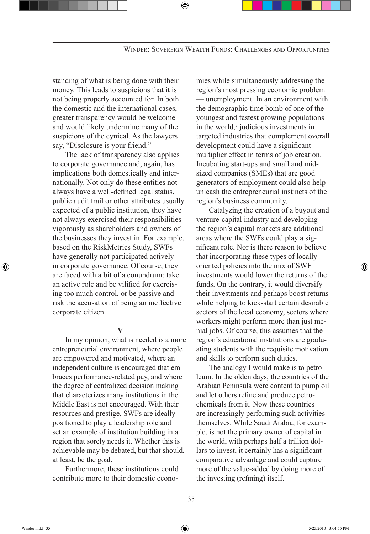standing of what is being done with their money. This leads to suspicions that it is not being properly accounted for. In both the domestic and the international cases, greater transparency would be welcome and would likely undermine many of the suspicions of the cynical. As the lawyers say, "Disclosure is your friend."

The lack of transparency also applies to corporate governance and, again, has implications both domestically and internationally. Not only do these entities not always have a well-defined legal status, public audit trail or other attributes usually expected of a public institution, they have not always exercised their responsibilities vigorously as shareholders and owners of the businesses they invest in. For example, based on the RiskMetrics Study, SWFs have generally not participated actively in corporate governance. Of course, they are faced with a bit of a conundrum: take an active role and be vilified for exercising too much control, or be passive and risk the accusation of being an ineffective corporate citizen.

## **V**

In my opinion, what is needed is a more entrepreneurial environment, where people are empowered and motivated, where an independent culture is encouraged that embraces performance-related pay, and where the degree of centralized decision making that characterizes many institutions in the Middle East is not encouraged. With their resources and prestige, SWFs are ideally positioned to play a leadership role and set an example of institution building in a region that sorely needs it. Whether this is achievable may be debated, but that should, at least, be the goal.

Furthermore, these institutions could contribute more to their domestic economies while simultaneously addressing the region's most pressing economic problem — unemployment. In an environment with the demographic time bomb of one of the youngest and fastest growing populations in the world,7 judicious investments in targeted industries that complement overall development could have a significant multiplier effect in terms of job creation. Incubating start-ups and small and midsized companies (SMEs) that are good generators of employment could also help unleash the entrepreneurial instincts of the region's business community.

Catalyzing the creation of a buyout and venture-capital industry and developing the region's capital markets are additional areas where the SWFs could play a significant role. Nor is there reason to believe that incorporating these types of locally oriented policies into the mix of SWF investments would lower the returns of the funds. On the contrary, it would diversify their investments and perhaps boost returns while helping to kick-start certain desirable sectors of the local economy, sectors where workers might perform more than just menial jobs. Of course, this assumes that the region's educational institutions are graduating students with the requisite motivation and skills to perform such duties.

The analogy I would make is to petroleum. In the olden days, the countries of the Arabian Peninsula were content to pump oil and let others refine and produce petrochemicals from it. Now these countries are increasingly performing such activities themselves. While Saudi Arabia, for example, is not the primary owner of capital in the world, with perhaps half a trillion dollars to invest, it certainly has a significant comparative advantage and could capture more of the value-added by doing more of the investing (refining) itself.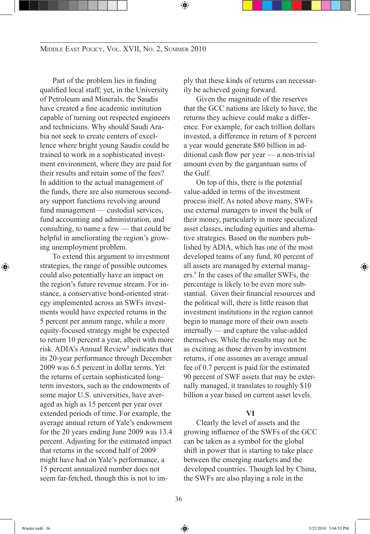Part of the problem lies in finding qualified local staff; yet, in the University of Petroleum and Minerals, the Saudis have created a fine academic institution capable of turning out respected engineers and technicians. Why should Saudi Arabia not seek to create centers of excellence where bright young Saudis could be trained to work in a sophisticated investment environment, where they are paid for their results and retain some of the fees? In addition to the actual management of the funds, there are also numerous secondary support functions revolving around fund management — custodial services, fund accounting and administration, and consulting, to name a few — that could be helpful in ameliorating the region's growing unemployment problem.

To extend this argument to investment strategies, the range of possible outcomes could also potentially have an impact on the region's future revenue stream. For instance, a conservative bond-oriented strategy implemented across an SWFs investments would have expected returns in the 5 percent per annum range, while a more equity-focused strategy might be expected to return 10 percent a year, albeit with more risk. ADIA's Annual Review<sup>8</sup> indicates that its 20-year performance through December 2009 was 6.5 percent in dollar terms. Yet the returns of certain sophisticated longterm investors, such as the endowments of some major U.S. universities, have averaged as high as 15 percent per year over extended periods of time. For example, the average annual return of Yale's endowment for the 20 years ending June 2009 was 13.4 percent. Adjusting for the estimated impact that returns in the second half of 2009 might have had on Yale's performance, a 15 percent annualized number does not seem far-fetched, though this is not to imply that these kinds of returns can necessarily be achieved going forward.

Given the magnitude of the reserves that the GCC nations are likely to have, the returns they achieve could make a difference. For example, for each trillion dollars invested, a difference in return of 8 percent a year would generate \$80 billion in additional cash flow per year — a non-trivial amount even by the gargantuan sums of the Gulf.

On top of this, there is the potential value-added in terms of the investment process itself. As noted above many, SWFs use external managers to invest the bulk of their money, particularly in more specialized asset classes, including equities and alternative strategies. Based on the numbers published by ADIA, which has one of the most developed teams of any fund, 80 percent of all assets are managed by external managers.9 In the cases of the smaller SWFs, the percentage is likely to be even more substantial. Given their financial resources and the political will, there is little reason that investment institutions in the region cannot begin to manage more of their own assets internally — and capture the value-added themselves. While the results may not be as exciting as those driven by investment returns, if one assumes an average annual fee of 0.7 percent is paid for the estimated 90 percent of SWF assets that may be externally managed, it translates to roughly \$10 billion a year based on current asset levels.

#### **VI**

Clearly the level of assets and the growing influence of the SWFs of the GCC can be taken as a symbol for the global shift in power that is starting to take place between the emerging markets and the developed countries. Though led by China, the SWFs are also playing a role in the